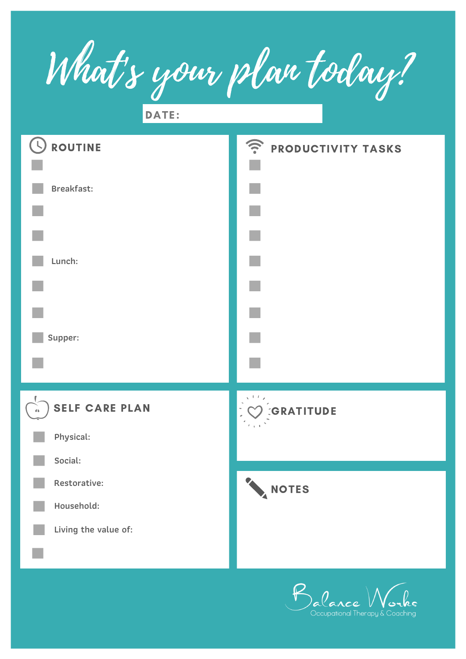What's your plan today?

DATE:



Coupational Therapy & Coaching